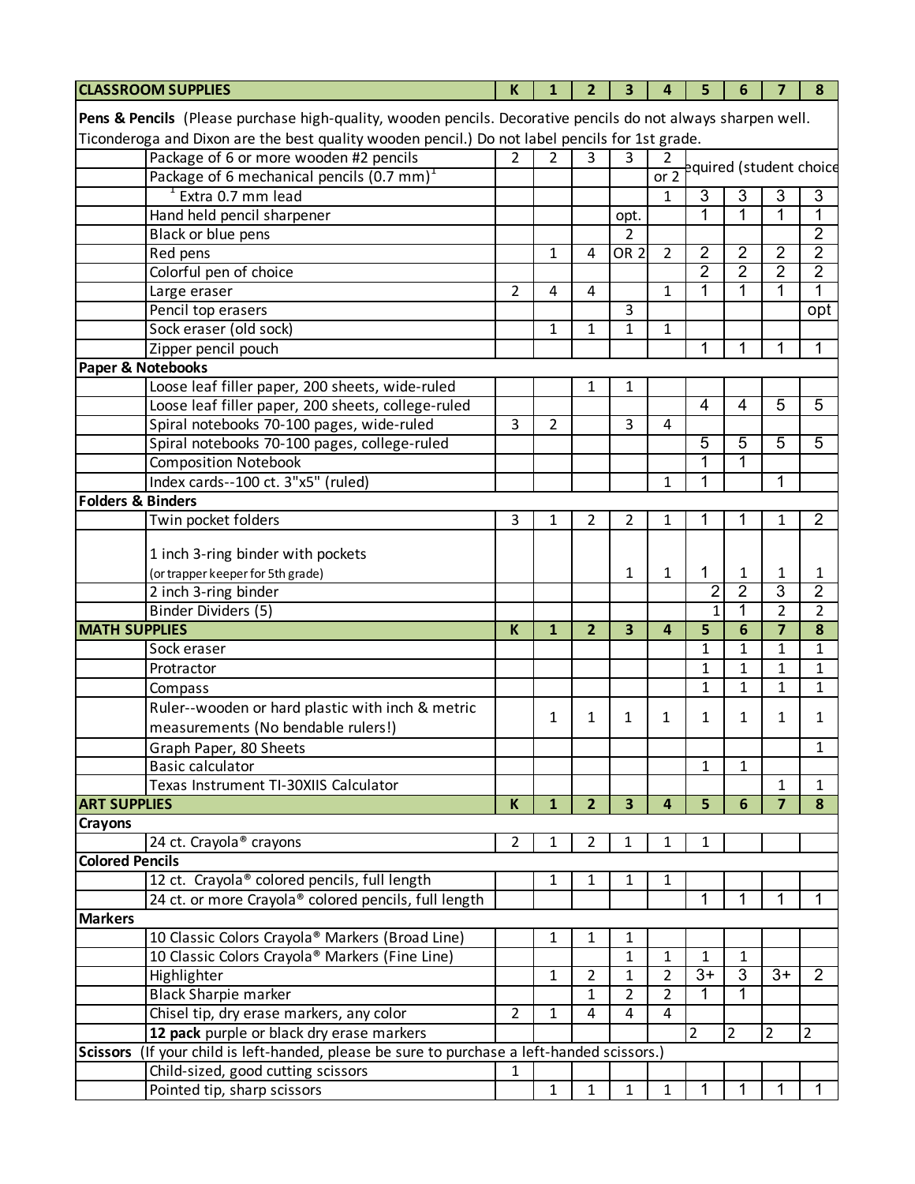| <b>CLASSROOM SUPPLIES</b>                                                                                                                                                                                      |                                                                                    | K              | 1              | $\overline{2}$ | 3                       | 4              | 5               | 6              | $\overline{7}$  | 8                       |
|----------------------------------------------------------------------------------------------------------------------------------------------------------------------------------------------------------------|------------------------------------------------------------------------------------|----------------|----------------|----------------|-------------------------|----------------|-----------------|----------------|-----------------|-------------------------|
|                                                                                                                                                                                                                |                                                                                    |                |                |                |                         |                |                 |                |                 |                         |
| Pens & Pencils (Please purchase high-quality, wooden pencils. Decorative pencils do not always sharpen well.<br>Ticonderoga and Dixon are the best quality wooden pencil.) Do not label pencils for 1st grade. |                                                                                    |                |                |                |                         |                |                 |                |                 |                         |
|                                                                                                                                                                                                                |                                                                                    |                |                |                |                         |                |                 |                |                 |                         |
|                                                                                                                                                                                                                | Package of 6 or more wooden #2 pencils                                             | $\mathcal{P}$  | $\mathcal{P}$  | 3              | 3                       | 2<br>or 2      |                 |                |                 | equired (student choice |
|                                                                                                                                                                                                                | Package of 6 mechanical pencils $(0.7 \text{ mm})^1$                               |                |                |                |                         |                |                 |                |                 |                         |
|                                                                                                                                                                                                                | $1$ Extra 0.7 mm lead                                                              |                |                |                |                         | 1              | 3               | 3              | 3               | 3                       |
|                                                                                                                                                                                                                | Hand held pencil sharpener                                                         |                |                |                | opt.                    |                | 1               | 1              | 1               | $\overline{1}$          |
|                                                                                                                                                                                                                | Black or blue pens                                                                 |                |                |                | $\mathfrak z$           |                |                 |                |                 | $\overline{2}$          |
|                                                                                                                                                                                                                | Red pens                                                                           |                | $\mathbf{1}$   | 4              | OR <sub>2</sub>         | $\overline{2}$ | $\overline{2}$  | $\overline{2}$ | 2               | $\overline{2}$          |
|                                                                                                                                                                                                                | Colorful pen of choice                                                             |                |                |                |                         |                | $\overline{2}$  | $\overline{2}$ | $\overline{2}$  | $\overline{2}$          |
|                                                                                                                                                                                                                | Large eraser                                                                       | 2              | 4              | 4              |                         | $\mathbf{1}$   | 1               | 1              | 1               | $\overline{1}$          |
|                                                                                                                                                                                                                | Pencil top erasers                                                                 |                |                |                | 3                       |                |                 |                |                 | opt                     |
|                                                                                                                                                                                                                | Sock eraser (old sock)                                                             |                | $\mathbf{1}$   | $\mathbf{1}$   | $\mathbf{1}$            | $\mathbf{1}$   |                 |                |                 |                         |
|                                                                                                                                                                                                                | Zipper pencil pouch                                                                |                |                |                |                         |                | 1               |                | 1               | 1                       |
| Paper & Notebooks                                                                                                                                                                                              |                                                                                    |                |                |                |                         |                |                 |                |                 |                         |
|                                                                                                                                                                                                                | Loose leaf filler paper, 200 sheets, wide-ruled                                    |                |                | 1              | 1                       |                |                 |                |                 |                         |
|                                                                                                                                                                                                                | Loose leaf filler paper, 200 sheets, college-ruled                                 |                |                |                |                         |                | $\overline{4}$  | $\overline{4}$ | $\overline{5}$  | $\overline{5}$          |
|                                                                                                                                                                                                                | Spiral notebooks 70-100 pages, wide-ruled                                          | 3              | $\overline{2}$ |                | 3                       | 4              |                 |                |                 |                         |
|                                                                                                                                                                                                                | Spiral notebooks 70-100 pages, college-ruled                                       |                |                |                |                         |                | $\overline{5}$  | $\overline{5}$ | $\overline{5}$  | $\overline{5}$          |
|                                                                                                                                                                                                                | <b>Composition Notebook</b>                                                        |                |                |                |                         |                | 1               |                |                 |                         |
|                                                                                                                                                                                                                | Index cards--100 ct. 3"x5" (ruled)                                                 |                |                |                |                         | 1              | 1               |                | 1               |                         |
| <b>Folders &amp; Binders</b>                                                                                                                                                                                   |                                                                                    |                |                |                |                         |                |                 |                |                 |                         |
|                                                                                                                                                                                                                | Twin pocket folders                                                                | 3              | 1              | 2              | 2                       | 1              | 1               |                | 1               | $\overline{2}$          |
|                                                                                                                                                                                                                |                                                                                    |                |                |                |                         |                |                 |                |                 |                         |
|                                                                                                                                                                                                                | 1 inch 3-ring binder with pockets                                                  |                |                |                |                         |                |                 |                |                 |                         |
|                                                                                                                                                                                                                | (or trapper keeper for 5th grade)                                                  |                |                |                | 1                       | 1              | 1               | 1              | 1               | 1                       |
|                                                                                                                                                                                                                | 2 inch 3-ring binder                                                               |                |                |                |                         |                | 2               | $\overline{2}$ | $\overline{3}$  | $\overline{2}$          |
|                                                                                                                                                                                                                | Binder Dividers (5)                                                                |                |                |                |                         |                | $\mathbf{1}$    | 1              | $\overline{2}$  | $\overline{2}$          |
| <b>MATH SUPPLIES</b>                                                                                                                                                                                           |                                                                                    | K              | $\mathbf{1}$   | $\overline{2}$ | $\overline{\mathbf{3}}$ | $\overline{4}$ | 5               | 6              | $\overline{7}$  | 8                       |
|                                                                                                                                                                                                                | Sock eraser                                                                        |                |                |                |                         |                | $\mathbf{1}$    | 1              | 1               | $\mathbf{1}$            |
|                                                                                                                                                                                                                | Protractor                                                                         |                |                |                |                         |                | $\mathbf{1}$    | 1              | 1               | $\mathbf{1}$            |
|                                                                                                                                                                                                                | Compass                                                                            |                |                |                |                         |                | $\mathbf{1}$    | $\mathbf{1}$   | $\mathbf{1}$    | $\mathbf{1}$            |
|                                                                                                                                                                                                                | Ruler--wooden or hard plastic with inch & metric                                   |                | 1              | 1              | 1                       | 1              | 1               | 1              | 1               | 1                       |
|                                                                                                                                                                                                                | measurements (No bendable rulers!)                                                 |                |                |                |                         |                |                 |                |                 |                         |
|                                                                                                                                                                                                                | Graph Paper, 80 Sheets                                                             |                |                |                |                         |                |                 |                |                 | 1                       |
|                                                                                                                                                                                                                | <b>Basic calculator</b>                                                            |                |                |                |                         |                | $\mathbf{1}$    | 1              |                 |                         |
|                                                                                                                                                                                                                | Texas Instrument TI-30XIIS Calculator                                              |                |                |                |                         |                |                 |                | 1               | 1                       |
| <b>ART SUPPLIES</b>                                                                                                                                                                                            |                                                                                    | K              | $\mathbf{1}$   | $\overline{2}$ | $\overline{\mathbf{3}}$ | 4              | 5               | 6              | $\overline{7}$  | 8                       |
| Crayons                                                                                                                                                                                                        |                                                                                    |                |                |                |                         |                |                 |                |                 |                         |
|                                                                                                                                                                                                                | 24 ct. Crayola <sup>®</sup> crayons                                                | $\overline{2}$ | 1              | 2              | 1                       | 1              | 1               |                |                 |                         |
| <b>Colored Pencils</b>                                                                                                                                                                                         |                                                                                    |                |                |                |                         |                |                 |                |                 |                         |
|                                                                                                                                                                                                                | 12 ct. Crayola <sup>®</sup> colored pencils, full length                           |                | 1              | 1              | 1                       | 1              |                 |                |                 |                         |
|                                                                                                                                                                                                                | 24 ct. or more Crayola® colored pencils, full length                               |                |                |                |                         |                | 1               | 1              | 1               | 1                       |
| <b>Markers</b>                                                                                                                                                                                                 |                                                                                    |                |                |                |                         |                |                 |                |                 |                         |
|                                                                                                                                                                                                                | 10 Classic Colors Crayola® Markers (Broad Line)                                    |                | 1              | 1              | 1                       |                |                 |                |                 |                         |
|                                                                                                                                                                                                                | 10 Classic Colors Crayola® Markers (Fine Line)                                     |                |                |                | $\mathbf{1}$            | 1              | $\mathbf{1}$    | 1              |                 |                         |
|                                                                                                                                                                                                                | Highlighter                                                                        |                | 1              | 2              | 1                       | 2              | $\overline{3+}$ | 3              | $\overline{3+}$ | $\overline{2}$          |
|                                                                                                                                                                                                                | <b>Black Sharpie marker</b>                                                        |                |                | 1              | 2                       | 2              | 1               | 1              |                 |                         |
|                                                                                                                                                                                                                | Chisel tip, dry erase markers, any color                                           | $\overline{2}$ | $\mathbf{1}$   | 4              | 4                       | 4              |                 |                |                 |                         |
|                                                                                                                                                                                                                | 12 pack purple or black dry erase markers                                          |                |                |                |                         |                | $\overline{2}$  | $\overline{2}$ | $\overline{2}$  | 2                       |
| <b>Scissors</b>                                                                                                                                                                                                | (If your child is left-handed, please be sure to purchase a left-handed scissors.) |                |                |                |                         |                |                 |                |                 |                         |
|                                                                                                                                                                                                                | Child-sized, good cutting scissors                                                 | 1              |                |                |                         |                |                 |                |                 |                         |
|                                                                                                                                                                                                                | Pointed tip, sharp scissors                                                        |                | $\mathbf{1}$   | $\mathbf{1}$   | $\mathbf{1}$            | $\mathbf{1}$   | 1               | 1              | 1               |                         |